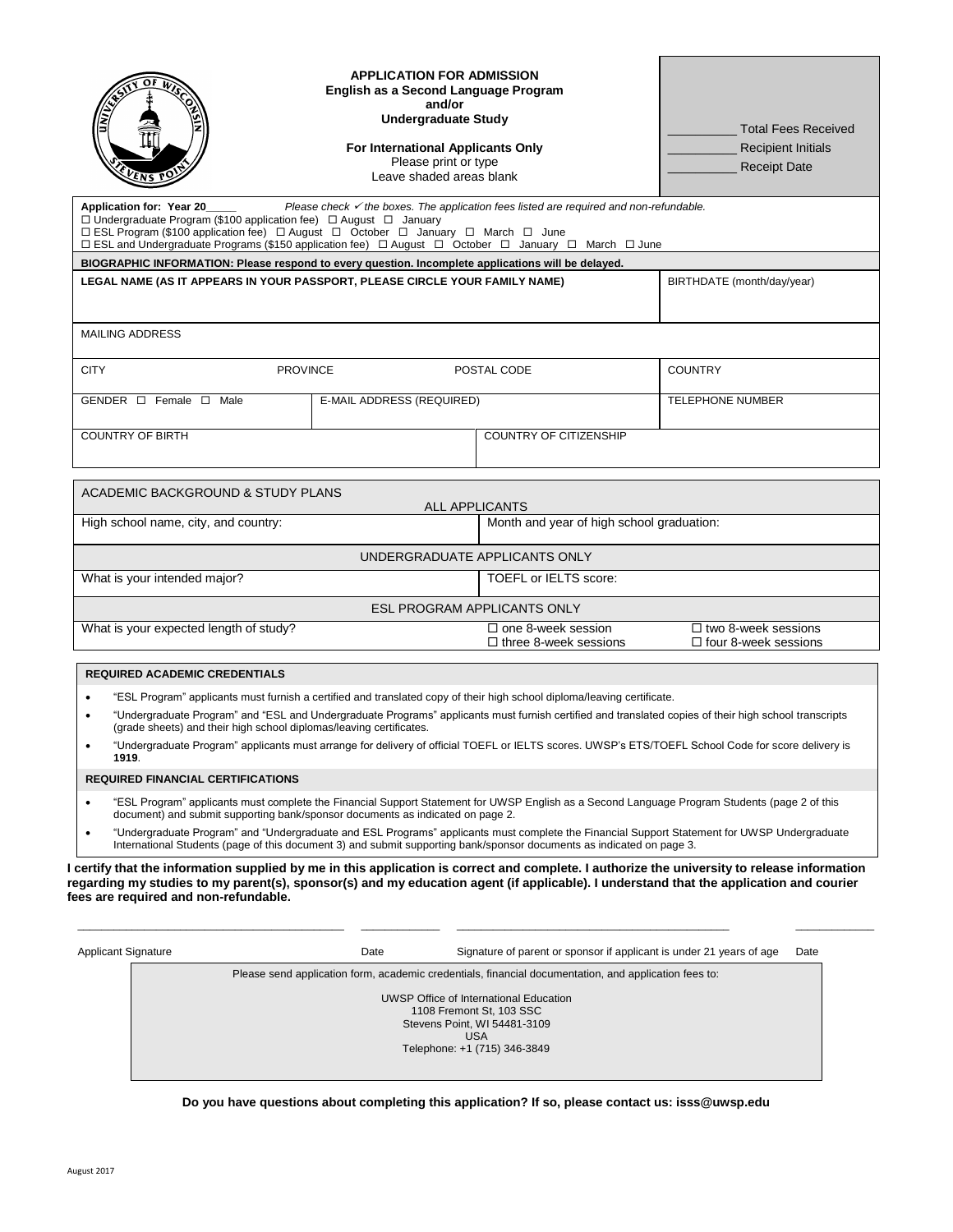| EN5 P                                                                                                                                                                                                                                                                                                      | <b>APPLICATION FOR ADMISSION</b><br>English as a Second Language Program<br>and/or<br><b>Undergraduate Study</b><br>For International Applicants Only<br>Please print or type<br>Leave shaded areas blank |                                                                                                   | <b>Total Fees Received</b><br><b>Recipient Initials</b><br><b>Receipt Date</b> |
|------------------------------------------------------------------------------------------------------------------------------------------------------------------------------------------------------------------------------------------------------------------------------------------------------------|-----------------------------------------------------------------------------------------------------------------------------------------------------------------------------------------------------------|---------------------------------------------------------------------------------------------------|--------------------------------------------------------------------------------|
| Application for: Year 20<br>$\Box$ Undergraduate Program (\$100 application fee) $\Box$ August $\Box$ January<br>□ ESL Program (\$100 application fee) □ August □ October □ January □ March □ June<br>□ ESL and Undergraduate Programs (\$150 application fee) □ August □ October □ January □ March □ June |                                                                                                                                                                                                           | Please check $\checkmark$ the boxes. The application fees listed are required and non-refundable. |                                                                                |
| BIOGRAPHIC INFORMATION: Please respond to every question. Incomplete applications will be delayed.                                                                                                                                                                                                         |                                                                                                                                                                                                           |                                                                                                   |                                                                                |
| LEGAL NAME (AS IT APPEARS IN YOUR PASSPORT, PLEASE CIRCLE YOUR FAMILY NAME)                                                                                                                                                                                                                                |                                                                                                                                                                                                           |                                                                                                   | BIRTHDATE (month/day/year)                                                     |
| <b>MAILING ADDRESS</b>                                                                                                                                                                                                                                                                                     |                                                                                                                                                                                                           |                                                                                                   |                                                                                |
| <b>CITY</b>                                                                                                                                                                                                                                                                                                | <b>PROVINCE</b>                                                                                                                                                                                           | POSTAL CODE                                                                                       | <b>COUNTRY</b>                                                                 |
| GENDER $\Box$ Female $\Box$ Male                                                                                                                                                                                                                                                                           | E-MAIL ADDRESS (REQUIRED)                                                                                                                                                                                 |                                                                                                   | <b>TELEPHONE NUMBER</b>                                                        |
| <b>COUNTRY OF BIRTH</b>                                                                                                                                                                                                                                                                                    |                                                                                                                                                                                                           | <b>COUNTRY OF CITIZENSHIP</b>                                                                     |                                                                                |
| ACADEMIC BACKGROUND & STUDY PLANS                                                                                                                                                                                                                                                                          |                                                                                                                                                                                                           |                                                                                                   |                                                                                |
| <b>ALL APPLICANTS</b><br>Month and year of high school graduation:<br>High school name, city, and country:                                                                                                                                                                                                 |                                                                                                                                                                                                           |                                                                                                   |                                                                                |
|                                                                                                                                                                                                                                                                                                            |                                                                                                                                                                                                           | UNDERGRADUATE APPLICANTS ONLY                                                                     |                                                                                |
| What is your intended major?<br><b>TOEFL or IELTS score:</b>                                                                                                                                                                                                                                               |                                                                                                                                                                                                           |                                                                                                   |                                                                                |
|                                                                                                                                                                                                                                                                                                            |                                                                                                                                                                                                           | <b>ESL PROGRAM APPLICANTS ONLY</b>                                                                |                                                                                |
| What is your expected length of study?                                                                                                                                                                                                                                                                     |                                                                                                                                                                                                           | $\Box$ one 8-week session<br>$\Box$ three 8-week sessions                                         | $\Box$ two 8-week sessions<br>$\Box$ four 8-week sessions                      |
| <b>REQUIRED ACADEMIC CREDENTIALS</b>                                                                                                                                                                                                                                                                       |                                                                                                                                                                                                           |                                                                                                   |                                                                                |

- "ESL Program" applicants must furnish a certified and translated copy of their high school diploma/leaving certificate.
- "Undergraduate Program" and "ESL and Undergraduate Programs" applicants must furnish certified and translated copies of their high school transcripts (grade sheets) and their high school diplomas/leaving certificates.
- "Undergraduate Program" applicants must arrange for delivery of official TOEFL or IELTS scores. UWSP's ETS/TOEFL School Code for score delivery is **1919**.

## **REQUIRED FINANCIAL CERTIFICATIONS**

- "ESL Program" applicants must complete the Financial Support Statement for UWSP English as a Second Language Program Students (page 2 of this document) and submit supporting bank/sponsor documents as indicated on page 2.
- "Undergraduate Program" and "Undergraduate and ESL Programs" applicants must complete the Financial Support Statement for UWSP Undergraduate International Students (page of this document 3) and submit supporting bank/sponsor documents as indicated on page 3.

**I certify that the information supplied by me in this application is correct and complete. I authorize the university to release information regarding my studies to my parent(s), sponsor(s) and my education agent (if applicable). I understand that the application and courier fees are required and non-refundable.**

\_\_\_\_\_\_\_\_\_\_\_\_\_\_\_\_\_\_\_\_\_\_\_\_\_\_\_\_\_\_\_\_\_\_\_\_\_\_\_\_\_\_\_\_ \_\_\_\_\_\_\_\_\_\_\_\_\_ \_\_\_\_\_\_\_\_\_\_\_\_\_\_\_\_\_\_\_\_\_\_\_\_\_\_\_\_\_\_\_\_\_\_\_\_\_\_\_\_\_\_\_\_\_ \_\_\_\_\_\_\_\_\_\_\_\_\_

| <b>Applicant Signature</b> | Date | Signature of parent or sponsor if applicant is under 21 years of age                                                                      | Date |
|----------------------------|------|-------------------------------------------------------------------------------------------------------------------------------------------|------|
|                            |      | Please send application form, academic credentials, financial documentation, and application fees to:                                     |      |
|                            |      | UWSP Office of International Education<br>1108 Fremont St, 103 SSC<br>Stevens Point, WI 54481-3109<br>USA<br>Telephone: +1 (715) 346-3849 |      |

## **Do you have questions about completing this application? If so, please contact us: isss@uwsp.edu**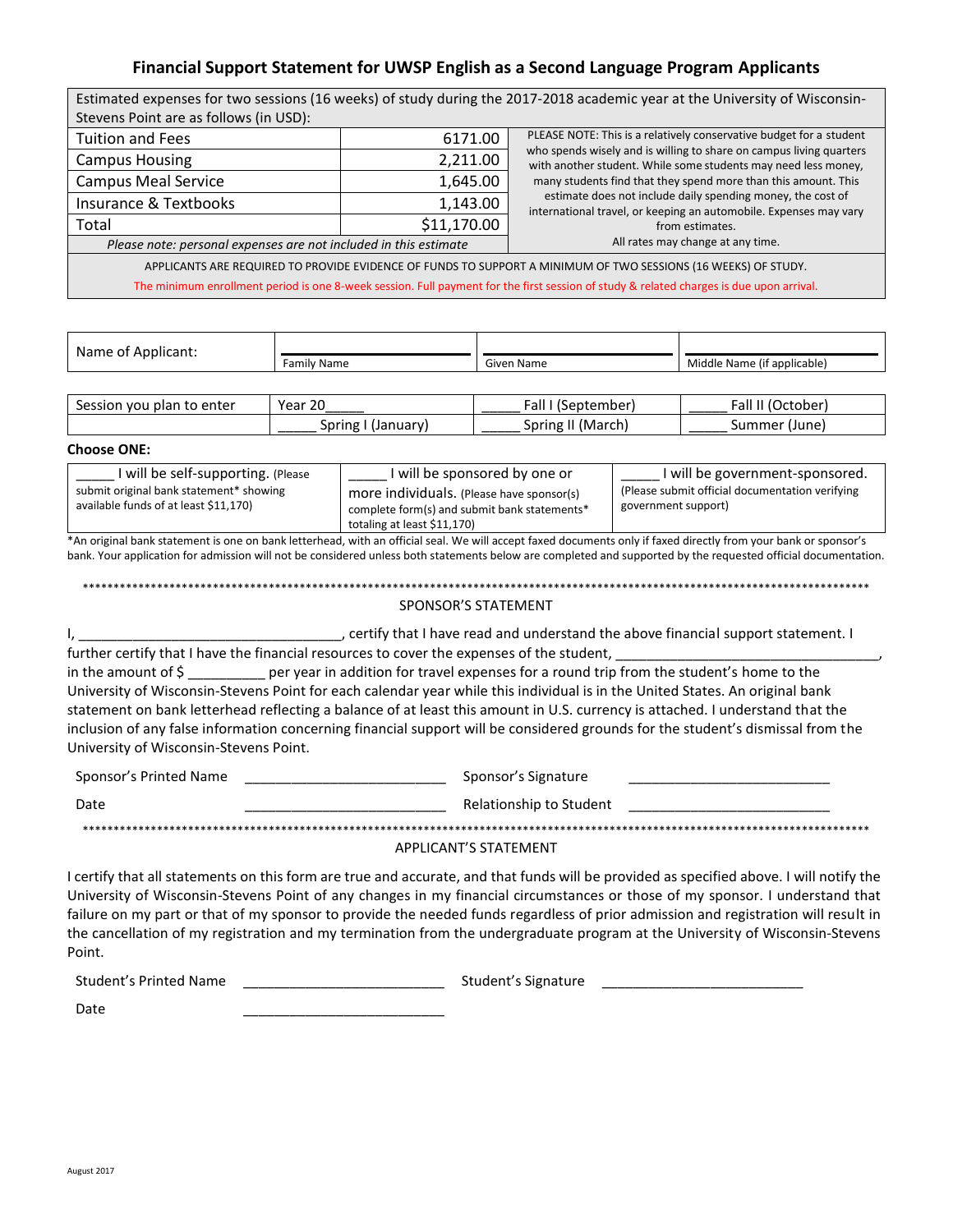# **Financial Support Statement for UWSP English as a Second Language Program Applicants**

| Estimated expenses for two sessions (16 weeks) of study during the 2017-2018 academic year at the University of Wisconsin-              |             |                                                                                                                                       |  |  |  |
|-----------------------------------------------------------------------------------------------------------------------------------------|-------------|---------------------------------------------------------------------------------------------------------------------------------------|--|--|--|
| Stevens Point are as follows (in USD):                                                                                                  |             |                                                                                                                                       |  |  |  |
| <b>Tuition and Fees</b>                                                                                                                 | 6171.00     | PLEASE NOTE: This is a relatively conservative budget for a student                                                                   |  |  |  |
| <b>Campus Housing</b>                                                                                                                   | 2,211.00    | who spends wisely and is willing to share on campus living quarters<br>with another student. While some students may need less money, |  |  |  |
| <b>Campus Meal Service</b>                                                                                                              | 1,645.00    | many students find that they spend more than this amount. This                                                                        |  |  |  |
| Insurance & Textbooks                                                                                                                   | 1,143.00    | estimate does not include daily spending money, the cost of<br>international travel, or keeping an automobile. Expenses may vary      |  |  |  |
| Total                                                                                                                                   | \$11,170.00 | from estimates.                                                                                                                       |  |  |  |
| All rates may change at any time.<br>Please note: personal expenses are not included in this estimate                                   |             |                                                                                                                                       |  |  |  |
| APPLICANTS ARE REQUIRED TO PROVIDE EVIDENCE OF FUNDS TO SUPPORT A MINIMUM OF TWO SESSIONS (16 WEEKS) OF STUDY.                          |             |                                                                                                                                       |  |  |  |
| The minimum enrollment period is one 8-week session. Full payment for the first session of study & related charges is due upon arrival. |             |                                                                                                                                       |  |  |  |

| Name of Applicant: |             |            |                             |
|--------------------|-------------|------------|-----------------------------|
|                    | Family Name | Given Name | Middle Name (if applicable) |

| Session you<br>⊢to enter<br>plan | $\mathcal{L}$<br>Year<br>້∠ປ | ∶all<br>'September، | all<br>:Jctober  |
|----------------------------------|------------------------------|---------------------|------------------|
|                                  | Spring<br>(January)<br>. .   | (March)<br>Spring   | (June)<br>summer |

#### **Choose ONE:**

| I will be self-supporting. (Please                                               | I will be sponsored by one or                                                                                            | I will be government-sponsored.                                         |
|----------------------------------------------------------------------------------|--------------------------------------------------------------------------------------------------------------------------|-------------------------------------------------------------------------|
| submit original bank statement* showing<br>available funds of at least \$11,170) | more individuals. (Please have sponsor(s)<br>complete form(s) and submit bank statements*<br>totaling at least \$11,170) | (Please submit official documentation verifying)<br>government support) |

\*An original bank statement is one on bank letterhead, with an official seal. We will accept faxed documents only if faxed directly from your bank or sponsor's bank. Your application for admission will not be considered unless both statements below are completed and supported by the requested official documentation.

\*\*\*\*\*\*\*\*\*\*\*\*\*\*\*\*\*\*\*\*\*\*\*\*\*\*\*\*\*\*\*\*\*\*\*\*\*\*\*\*\*\*\*\*\*\*\*\*\*\*\*\*\*\*\*\*\*\*\*\*\*\*\*\*\*\*\*\*\*\*\*\*\*\*\*\*\*\*\*\*\*\*\*\*\*\*\*\*\*\*\*\*\*\*\*\*\*\*\*\*\*\*\*\*\*\*\*\*\*\*\*\*\*\*\*\*\*\*\*\*\*\*\*\*\*\*\* SPONSOR'S STATEMENT

I, \_\_\_\_\_\_\_\_\_\_\_\_\_\_\_\_\_\_\_\_\_\_\_\_\_\_\_\_\_\_\_\_\_\_, certify that I have read and understand the above financial support statement. I further certify that I have the financial resources to cover the expenses of the student, in the amount of \$ per year in addition for travel expenses for a round trip from the student's home to the University of Wisconsin-Stevens Point for each calendar year while this individual is in the United States. An original bank statement on bank letterhead reflecting a balance of at least this amount in U.S. currency is attached. I understand that the inclusion of any false information concerning financial support will be considered grounds for the student's dismissal from the University of Wisconsin-Stevens Point.

| Sponsor's Printed Name | Sponsor's Signature     |  |
|------------------------|-------------------------|--|
| Date                   | Relationship to Student |  |
|                        |                         |  |

## APPLICANT'S STATEMENT

I certify that all statements on this form are true and accurate, and that funds will be provided as specified above. I will notify the University of Wisconsin-Stevens Point of any changes in my financial circumstances or those of my sponsor. I understand that failure on my part or that of my sponsor to provide the needed funds regardless of prior admission and registration will result in the cancellation of my registration and my termination from the undergraduate program at the University of Wisconsin-Stevens Point.

Student's Printed Name \_\_\_\_\_\_\_\_\_\_\_\_\_\_\_\_\_\_\_\_\_\_\_\_\_\_ Student's Signature \_\_\_\_\_\_\_\_\_\_\_\_\_\_\_\_\_\_\_\_\_\_\_\_\_\_

Date \_\_\_\_\_\_\_\_\_\_\_\_\_\_\_\_\_\_\_\_\_\_\_\_\_\_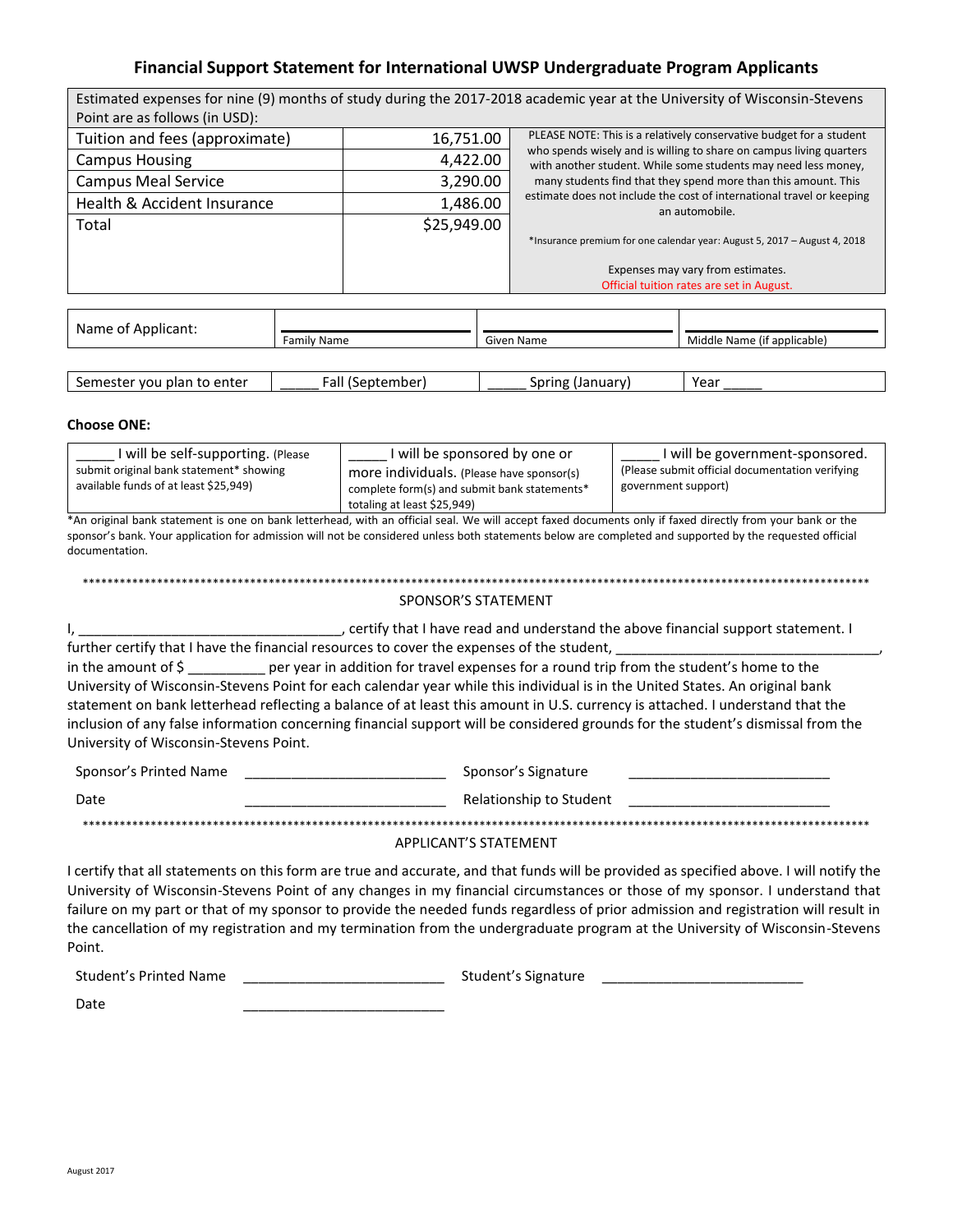## Financial Support Statement for International UWSP Undergraduate Program Applicants

|                                |             | Estimated expenses for nine (9) months of study during the 2017-2018 academic year at the University of Wisconsin-Stevens             |  |
|--------------------------------|-------------|---------------------------------------------------------------------------------------------------------------------------------------|--|
| Point are as follows (in USD): |             |                                                                                                                                       |  |
| Tuition and fees (approximate) | 16,751.00   | PLEASE NOTE: This is a relatively conservative budget for a student                                                                   |  |
| <b>Campus Housing</b>          | 4,422.00    | who spends wisely and is willing to share on campus living quarters<br>with another student. While some students may need less money, |  |
| <b>Campus Meal Service</b>     | 3,290.00    | many students find that they spend more than this amount. This                                                                        |  |
| Health & Accident Insurance    | 1,486.00    | estimate does not include the cost of international travel or keeping<br>an automobile.                                               |  |
| Total                          | \$25,949.00 |                                                                                                                                       |  |
|                                |             | *Insurance premium for one calendar year: August 5, 2017 - August 4, 2018                                                             |  |
|                                |             | Expenses may vary from estimates.                                                                                                     |  |
|                                |             | Official tuition rates are set in August.                                                                                             |  |
|                                |             |                                                                                                                                       |  |
| Name of Applicant:             |             |                                                                                                                                       |  |
| <b>Family Name</b>             |             | Middle Name (if applicable)<br>Given Name                                                                                             |  |

| Semester<br>, to enter<br>ı plan<br>ີົ່າ vou <sub>b</sub> … | all<br>cember'<br>Senter | Spring<br>(January) | Year |
|-------------------------------------------------------------|--------------------------|---------------------|------|

#### **Choose ONE:**

| I will be self-supporting. (Please      | I will be sponsored by one or                | I will be government-sponsored.                  |
|-----------------------------------------|----------------------------------------------|--------------------------------------------------|
| submit original bank statement* showing | more individuals. (Please have sponsor(s)    | (Please submit official documentation verifying) |
| available funds of at least \$25,949)   | complete form(s) and submit bank statements* | government support)                              |
|                                         | totaling at least \$25,949)                  |                                                  |

\*An original bank statement is one on bank letterhead, with an official seal. We will accept faxed documents only if faxed directly from your bank or the sponsor's bank. Your application for admission will not be considered unless both statements below are completed and supported by the requested official documentation.

## **SPONSOR'S STATEMENT**

, certify that I have read and understand the above financial support statement. I ۱,

further certify that I have the financial resources to cover the expenses of the student, in the amount of \$ \_\_\_\_\_\_\_\_\_ per year in addition for travel expenses for a round trip from the student's home to the University of Wisconsin-Stevens Point for each calendar year while this individual is in the United States. An original bank statement on bank letterhead reflecting a balance of at least this amount in U.S. currency is attached. I understand that the inclusion of any false information concerning financial support will be considered grounds for the student's dismissal from the University of Wisconsin-Stevens Point.

| Sponsor's Printed Name | Sponsor's Signature     |
|------------------------|-------------------------|
| Date                   | Relationship to Student |
|                        |                         |

### APPLICANT'S STATEMENT

I certify that all statements on this form are true and accurate, and that funds will be provided as specified above. I will notify the University of Wisconsin-Stevens Point of any changes in my financial circumstances or those of my sponsor. I understand that failure on my part or that of my sponsor to provide the needed funds regardless of prior admission and registration will result in the cancellation of my registration and my termination from the undergraduate program at the University of Wisconsin-Stevens Point.

**Student's Printed Name** Student's Signature

Date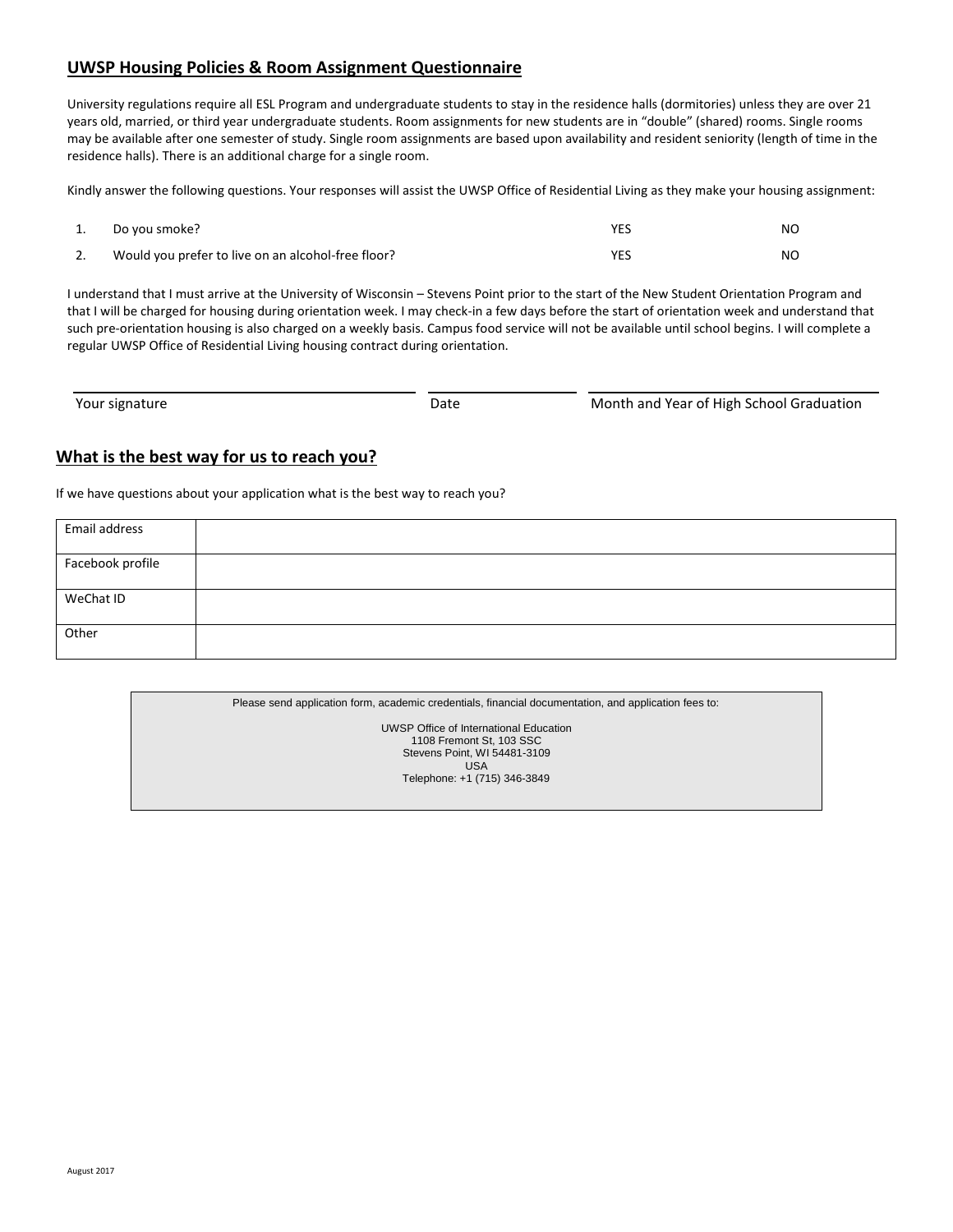# **UWSP Housing Policies & Room Assignment Questionnaire**

University regulations require all ESL Program and undergraduate students to stay in the residence halls (dormitories) unless they are over 21 years old, married, or third year undergraduate students. Room assignments for new students are in "double" (shared) rooms. Single rooms may be available after one semester of study. Single room assignments are based upon availability and resident seniority (length of time in the residence halls). There is an additional charge for a single room.

Kindly answer the following questions. Your responses will assist the UWSP Office of Residential Living as they make your housing assignment:

| Do you smoke?                                      | NO |
|----------------------------------------------------|----|
| Would you prefer to live on an alcohol-free floor? | NO |

I understand that I must arrive at the University of Wisconsin – Stevens Point prior to the start of the New Student Orientation Program and that I will be charged for housing during orientation week. I may check-in a few days before the start of orientation week and understand that such pre-orientation housing is also charged on a weekly basis. Campus food service will not be available until school begins. I will complete a regular UWSP Office of Residential Living housing contract during orientation.

| Your signature | Date | Month and Year of High School Graduation |
|----------------|------|------------------------------------------|

# **What is the best way for us to reach you?**

If we have questions about your application what is the best way to reach you?

| Email address    |  |
|------------------|--|
| Facebook profile |  |
| WeChat ID        |  |
| Other            |  |

| Please send application form, academic credentials, financial documentation, and application fees to: |
|-------------------------------------------------------------------------------------------------------|
| UWSP Office of International Education                                                                |
| 1108 Fremont St, 103 SSC                                                                              |
| Stevens Point, WI 54481-3109                                                                          |
| USA                                                                                                   |
| Telephone: +1 (715) 346-3849                                                                          |
|                                                                                                       |
|                                                                                                       |